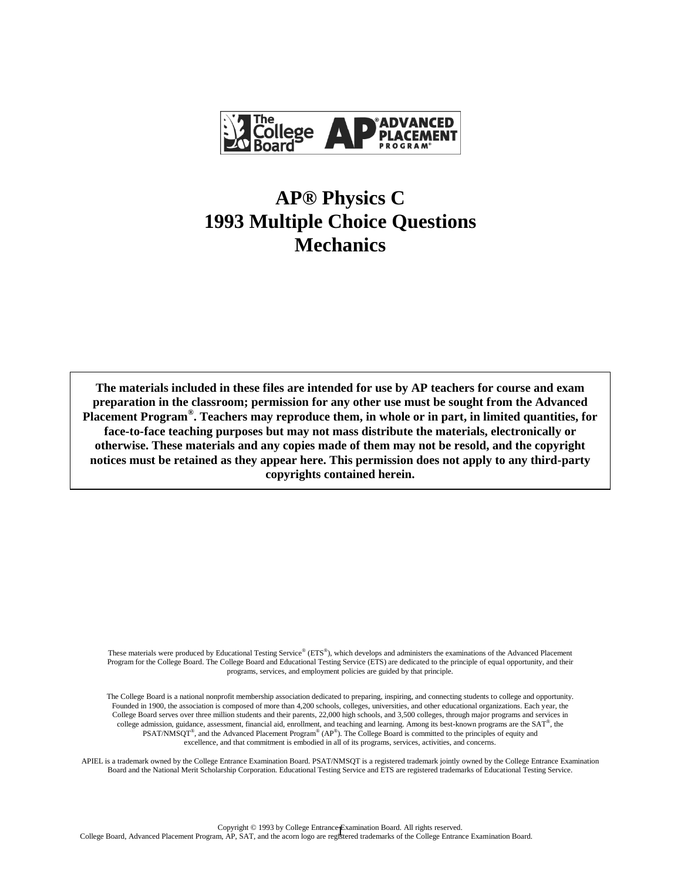

## **AP® Physics C 1993 Multiple Choice Questions Mechanics**

**The materials included in these files are intended for use by AP teachers for course and exam preparation in the classroom; permission for any other use must be sought from the Advanced Placement Program® . Teachers may reproduce them, in whole or in part, in limited quantities, for face-to-face teaching purposes but may not mass distribute the materials, electronically or otherwise. These materials and any copies made of them may not be resold, and the copyright notices must be retained as they appear here. This permission does not apply to any third-party copyrights contained herein.**

These materials were produced by Educational Testing Service® (ETS®), which develops and administers the examinations of the Advanced Placement Program for the College Board. The College Board and Educational Testing Service (ETS) are dedicated to the principle of equal opportunity, and their programs, services, and employment policies are guided by that principle.

The College Board is a national nonprofit membership association dedicated to preparing, inspiring, and connecting students to college and opportunity. Founded in 1900, the association is composed of more than 4,200 schools, colleges, universities, and other educational organizations. Each year, the College Board serves over three million students and their parents, 22,000 high schools, and 3,500 colleges, through major programs and services in college admission, guidance, assessment, financial aid, enrollment, and teaching and learning. Among its best-known programs are the SAT®, the  $PSAT/NMSQT^{\circ}$ , and the Advanced Placement Program<sup>®</sup> (AP<sup>®</sup>). The College Board is committed to the principles of equity and excellence, and that commitment is embodied in all of its programs, services, activities, and concerns.

APIEL is a trademark owned by the College Entrance Examination Board. PSAT/NMSQT is a registered trademark jointly owned by the College Entrance Examination Board and the National Merit Scholarship Corporation. Educational Testing Service and ETS are registered trademarks of Educational Testing Service.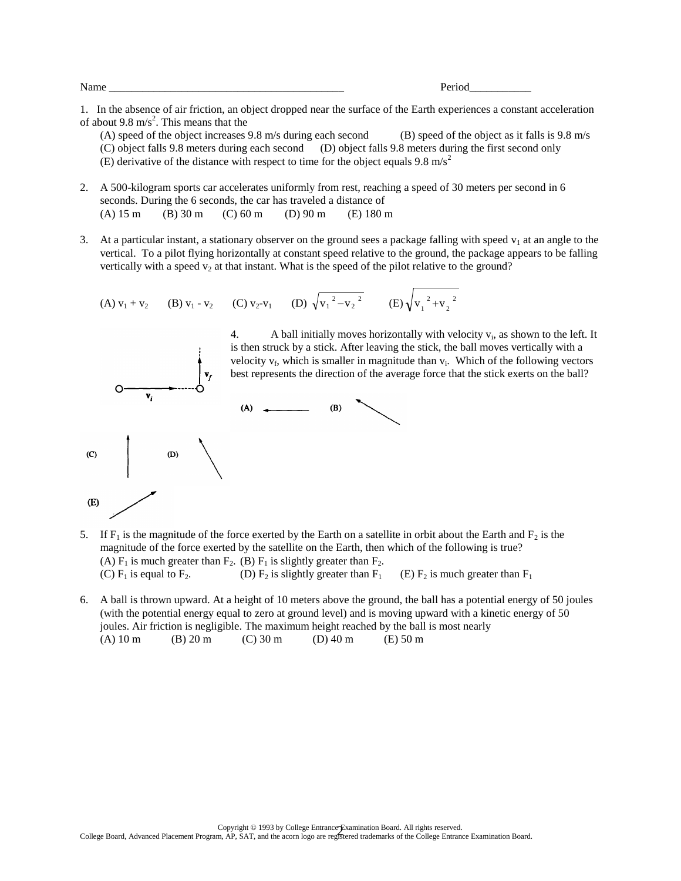Name \_\_\_\_\_\_\_\_\_\_\_\_\_\_\_\_\_\_\_\_\_\_\_\_\_\_\_\_\_\_\_\_\_\_\_\_\_\_\_\_\_\_ Period\_\_\_\_\_\_\_\_\_\_\_

1. In the absence of air friction, an object dropped near the surface of the Earth experiences a constant acceleration of about 9.8 m/s<sup>2</sup>. This means that the

- (A) speed of the object increases 9.8 m/s during each second (B) speed of the object as it falls is 9.8 m/s (C) object falls 9.8 meters during each second (D) object falls 9.8 meters during the first second only (E) derivative of the distance with respect to time for the object equals 9.8 m/s<sup>2</sup>
- 2. A 500-kilogram sports car accelerates uniformly from rest, reaching a speed of 30 meters per second in 6 seconds. During the 6 seconds, the car has traveled a distance of (A) 15 m (B) 30 m (C) 60 m (D) 90 m (E) 180 m
- 3. At a particular instant, a stationary observer on the ground sees a package falling with speed  $v_1$  at an angle to the vertical. To a pilot flying horizontally at constant speed relative to the ground, the package appears to be falling vertically with a speed  $v_2$  at that instant. What is the speed of the pilot relative to the ground?

(A) 
$$
v_1 + v_2
$$
 (B)  $v_1 - v_2$  (C)  $v_2 - v_1$  (D)  $\sqrt{v_1^2 - v_2^2}$  (E)  $\sqrt{v_1^2 + v_2^2}$ 



- 5. If  $F_1$  is the magnitude of the force exerted by the Earth on a satellite in orbit about the Earth and  $F_2$  is the magnitude of the force exerted by the satellite on the Earth, then which of the following is true? (A)  $F_1$  is much greater than  $F_2$ . (B)  $F_1$  is slightly greater than  $F_2$ .<br>(C)  $F_1$  is equal to  $F_2$ . (D)  $F_2$  is slightly greater than  $F_1$ (D)  $F_2$  is slightly greater than  $F_1$  (E)  $F_2$  is much greater than  $F_1$
- 6. A ball is thrown upward. At a height of 10 meters above the ground, the ball has a potential energy of 50 joules (with the potential energy equal to zero at ground level) and is moving upward with a kinetic energy of 50 joules. Air friction is negligible. The maximum height reached by the ball is most nearly (A)  $10 \text{ m}$  (B)  $20 \text{ m}$  (C)  $30 \text{ m}$  (D)  $40 \text{ m}$  (E)  $50 \text{ m}$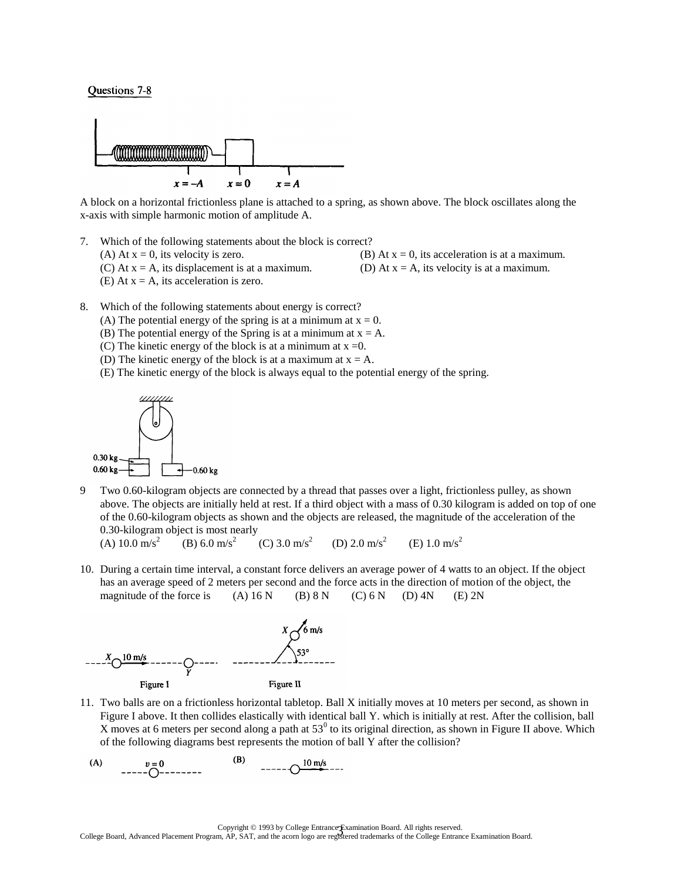## Questions 7-8



A block on a horizontal frictionless plane is attached to a spring, as shown above. The block oscillates along the x-axis with simple harmonic motion of amplitude A.

- 7. Which of the following statements about the block is correct?
	-
	- (A) At  $x = 0$ , its velocity is zero. (B) At  $x = 0$ , its acceleration is at a maximum.
	- (C) At  $x = A$ , its displacement is at a maximum. (D) At  $x = A$ , its velocity is at a maximum.
	- (E) At  $x = A$ , its acceleration is zero.
- 
- 8. Which of the following statements about energy is correct?
	- (A) The potential energy of the spring is at a minimum at  $x = 0$ .
	- (B) The potential energy of the Spring is at a minimum at  $x = A$ .
	- (C) The kinetic energy of the block is at a minimum at  $x = 0$ .
	- (D) The kinetic energy of the block is at a maximum at  $x = A$ .
	- (E) The kinetic energy of the block is always equal to the potential energy of the spring.



9 Two 0.60-kilogram objects are connected by a thread that passes over a light, frictionless pulley, as shown above. The objects are initially held at rest. If a third object with a mass of 0.30 kilogram is added on top of one of the 0.60-kilogram objects as shown and the objects are released, the magnitude of the acceleration of the 0.30-kilogram object is most nearly

(A)  $10.0 \text{ m/s}^2$ (B) 6.0 m/s<sup>2</sup> (C) 3.0 m/s<sup>2</sup> (D) 2.0 m/s<sup>2</sup> (E) 1.0 m/s<sup>2</sup>

10. During a certain time interval, a constant force delivers an average power of 4 watts to an object. If the object has an average speed of 2 meters per second and the force acts in the direction of motion of the object, the magnitude of the force is (A)  $16 N$  (B)  $8 N$  (C)  $6 N$  (D)  $4 N$  (E)  $2 N$ 



- 11. Two balls are on a frictionless horizontal tabletop. Ball X initially moves at 10 meters per second, as shown in Figure I above. It then collides elastically with identical ball Y. which is initially at rest. After the collision, ball X moves at 6 meters per second along a path at  $53<sup>0</sup>$  to its original direction, as shown in Figure II above. Which of the following diagrams best represents the motion of ball Y after the collision?
- $--- 0 \frac{10 \text{ m/s}}{10}$  $(A)$  $v=0$ <br>-----()-----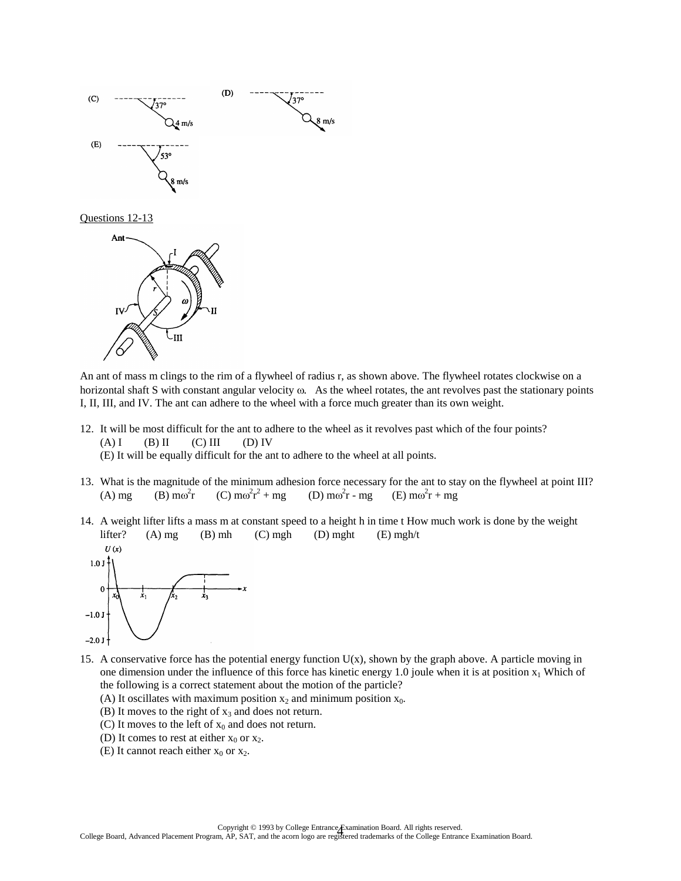





An ant of mass m clings to the rim of a flywheel of radius r, as shown above. The flywheel rotates clockwise on a horizontal shaft S with constant angular velocity  $\omega$ . As the wheel rotates, the ant revolves past the stationary points I, II, III, and IV. The ant can adhere to the wheel with a force much greater than its own weight.

- 12. It will be most difficult for the ant to adhere to the wheel as it revolves past which of the four points?  $(A) I$  (B) II (C) III (D) IV (E) It will be equally difficult for the ant to adhere to the wheel at all points.
- 13. What is the magnitude of the minimum adhesion force necessary for the ant to stay on the flywheel at point III? (A) mg (B) m $\omega^2$ r (C) m $\omega^2 r^2 + mg$  (D) m $\omega$ (D)  $m\omega^2 r$  - mg  $r - mg$  (E)  $m\omega^2 r + mg$
- 14. A weight lifter lifts a mass m at constant speed to a height h in time t How much work is done by the weight lifter? (A) mg (B) mh (C) mgh (D) mght (E) mgh/t



- 15. A conservative force has the potential energy function U(x), shown by the graph above. A particle moving in one dimension under the influence of this force has kinetic energy 1.0 joule when it is at position  $x_1$  Which of the following is a correct statement about the motion of the particle?
	- (A) It oscillates with maximum position  $x_2$  and minimum position  $x_0$ .
	- (B) It moves to the right of  $x_3$  and does not return.
	- (C) It moves to the left of  $x_0$  and does not return.
	- (D) It comes to rest at either  $x_0$  or  $x_2$ .
	- (E) It cannot reach either  $x_0$  or  $x_2$ .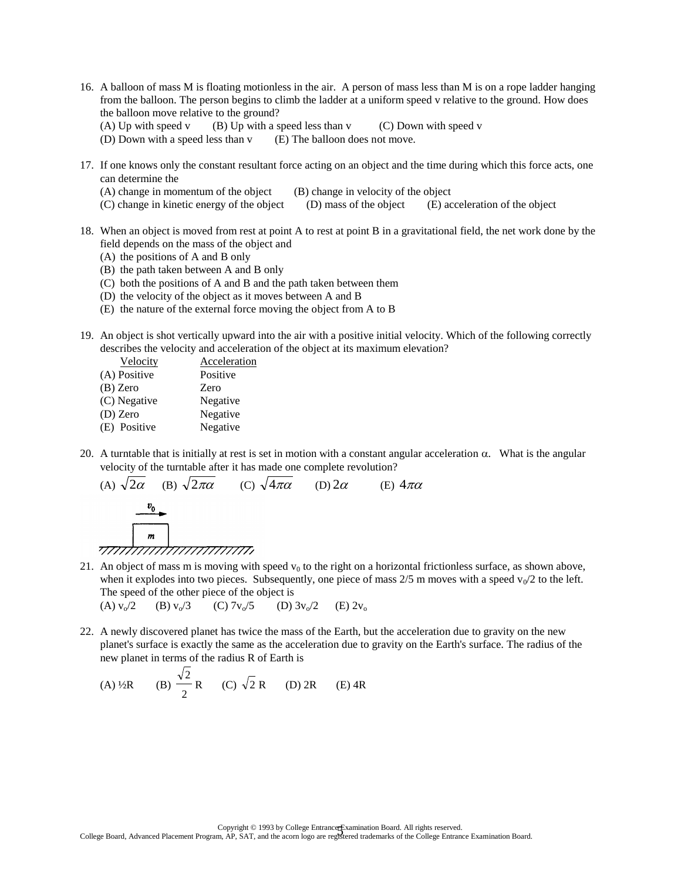- 16. A balloon of mass M is floating motionless in the air. A person of mass less than M is on a rope ladder hanging from the balloon. The person begins to climb the ladder at a uniform speed v relative to the ground. How does the balloon move relative to the ground?
	- (A) Up with speed v  $(B)$  Up with a speed less than v  $(C)$  Down with speed v
	- (D) Down with a speed less than v (E) The balloon does not move.
- 17. If one knows only the constant resultant force acting on an object and the time during which this force acts, one can determine the
	- (A) change in momentum of the object (B) change in velocity of the object
	- (C) change in kinetic energy of the object (D) mass of the object (E) acceleration of the object
- 18. When an object is moved from rest at point A to rest at point B in a gravitational field, the net work done by the field depends on the mass of the object and
	- (A) the positions of A and B only
	- (B) the path taken between A and B only
	- (C) both the positions of A and B and the path taken between them
	- (D) the velocity of the object as it moves between A and B
	- (E) the nature of the external force moving the object from A to B
- 19. An object is shot vertically upward into the air with a positive initial velocity. Which of the following correctly describes the velocity and acceleration of the object at its maximum elevation?

| Velocity     | Acceleration |
|--------------|--------------|
| (A) Positive | Positive     |
| $(B)$ Zero   | Zero         |
| (C) Negative | Negative     |
| $(D)$ Zero   | Negative     |
| (E) Positive | Negative     |
|              |              |

20. A turntable that is initially at rest is set in motion with a constant angular acceleration  $\alpha$ . What is the angular velocity of the turntable after it has made one complete revolution?

(A) 2 (B) 2 (C) 4 (D) 2 (E) 4

21. An object of mass m is moving with speed  $v_0$  to the right on a horizontal frictionless surface, as shown above, when it explodes into two pieces. Subsequently, one piece of mass  $2/5$  m moves with a speed  $v_0/2$  to the left. The speed of the other piece of the object is<br>
(A)  $v_0/2$  (B)  $v_0/3$  (C)  $7v_0/5$  (D)

(A)  $v_0/2$  (B)  $v_0/3$  (C)  $7v_0/5$  (D)  $3v_0/2$  (E)  $2v_0$ 

22. A newly discovered planet has twice the mass of the Earth, but the acceleration due to gravity on the new planet's surface is exactly the same as the acceleration due to gravity on the Earth's surface. The radius of the new planet in terms of the radius R of Earth is

(A) 
$$
\frac{1}{2}R
$$
 (B)  $\frac{\sqrt{2}}{2}R$  (C)  $\sqrt{2}R$  (D) 2R (E) 4R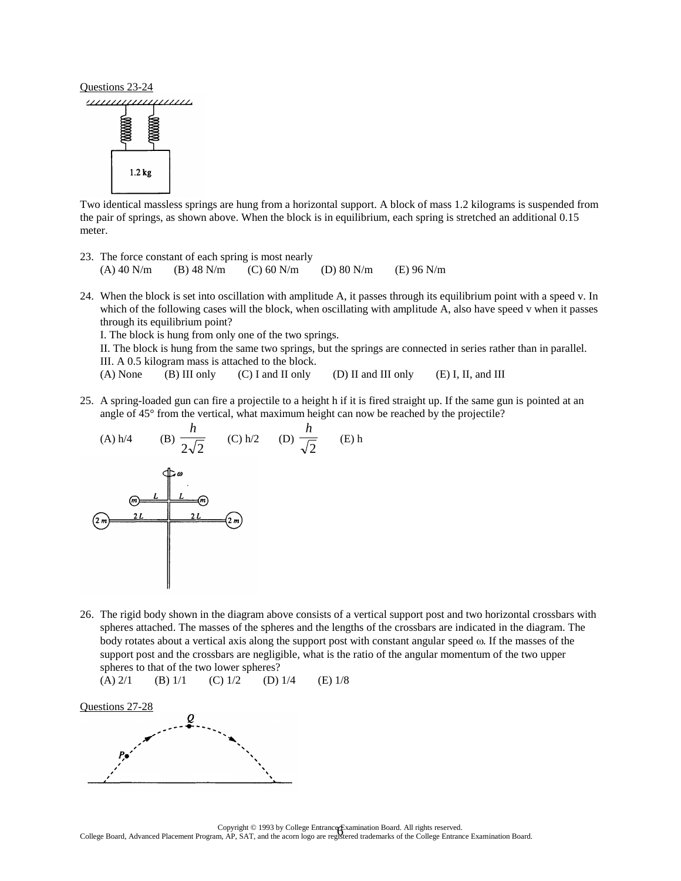

Two identical massless springs are hung from a horizontal support. A block of mass 1.2 kilograms is suspended from the pair of springs, as shown above. When the block is in equilibrium, each spring is stretched an additional 0.15 meter.

- 23. The force constant of each spring is most nearly (A) 40 N/m (B) 48 N/m (C) 60 N/m (D) 80 N/m (E) 96 N/m
- 24. When the block is set into oscillation with amplitude A, it passes through its equilibrium point with a speed v. In which of the following cases will the block, when oscillating with amplitude A, also have speed v when it passes through its equilibrium point?

I. The block is hung from only one of the two springs.

II. The block is hung from the same two springs, but the springs are connected in series rather than in parallel. III. A 0.5 kilogram mass is attached to the block.

(A) None (B) III only (C) I and II only (D) II and III only (E) I, II, and III

25. A spring-loaded gun can fire a projectile to a height h if it is fired straight up. If the same gun is pointed at an angle of 45° from the vertical, what maximum height can now be reached by the projectile?

(A) h/4 (B) 
$$
\frac{h}{2\sqrt{2}}
$$
 (C) h/2 (D)  $\frac{h}{\sqrt{2}}$  (E) h  
\n  
\n $\frac{h}{2m}$  (E) h  
\n  
\n $\frac{L}{2m}$  (E) h  
\n  
\n2L (D)  $\frac{h}{\sqrt{2}}$  (E) h

26. The rigid body shown in the diagram above consists of a vertical support post and two horizontal crossbars with spheres attached. The masses of the spheres and the lengths of the crossbars are indicated in the diagram. The body rotates about a vertical axis along the support post with constant angular speed  $\omega$ . If the masses of the support post and the crossbars are negligible, what is the ratio of the angular momentum of the two upper spheres to that of the two lower spheres?

(A) 
$$
2/1
$$
 (B)  $1/1$  (C)  $1/2$  (D)  $1/4$  (E)  $1/8$ 

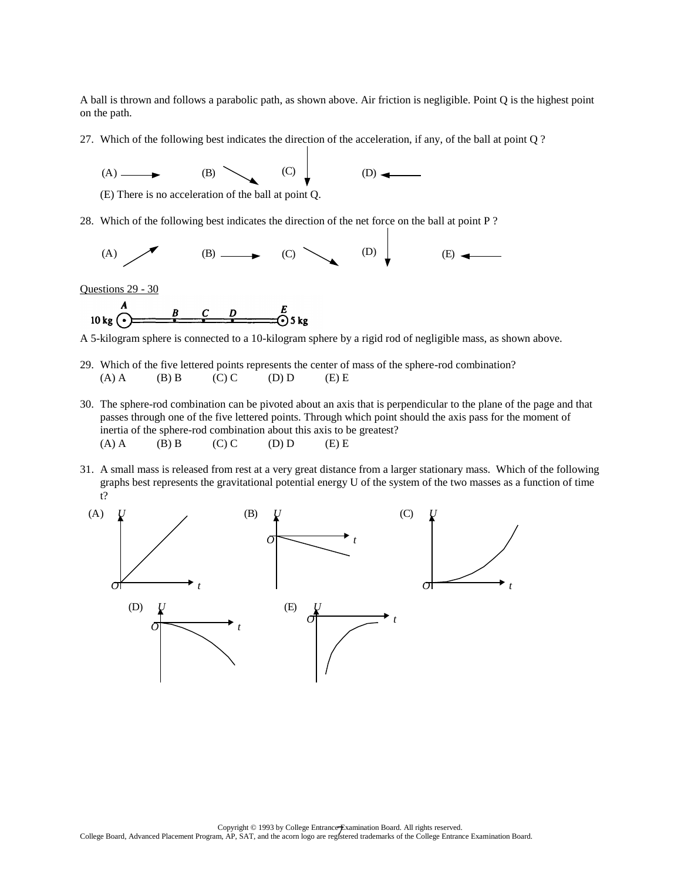A ball is thrown and follows a parabolic path, as shown above. Air friction is negligible. Point Q is the highest point on the path.

27. Which of the following best indicates the direction of the acceleration, if any, of the ball at point Q ?



(E) There is no acceleration of the ball at point Q.

28. Which of the following best indicates the direction of the net force on the ball at point P ?



Questions 29 - 30

$$
10 \text{ kg} \bigodot \qquad B \qquad C \qquad D \qquad E \qquad D \qquad S \text{ kg}
$$

A 5-kilogram sphere is connected to a 10-kilogram sphere by a rigid rod of negligible mass, as shown above.

- 29. Which of the five lettered points represents the center of mass of the sphere-rod combination? (A) A (B) B (C) C (D) D (E) E
- 30. The sphere-rod combination can be pivoted about an axis that is perpendicular to the plane of the page and that passes through one of the five lettered points. Through which point should the axis pass for the moment of inertia of the sphere-rod combination about this axis to be greatest? (A) A (B) B (C) C (D) D (E) E
- 31. A small mass is released from rest at a very great distance from a larger stationary mass. Which of the following graphs best represents the gravitational potential energy U of the system of the two masses as a function of time t?